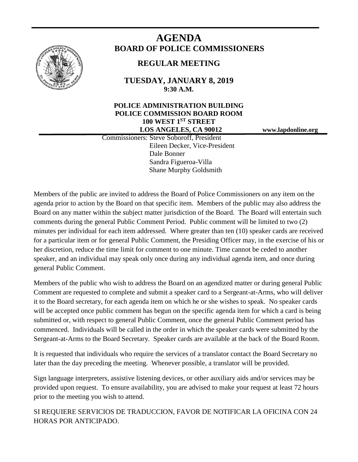

# **AGENDA BOARD OF POLICE COMMISSIONERS**

## **REGULAR MEETING**

**TUESDAY, JANUARY 8, 2019 9:30 A.M.**

### **POLICE ADMINISTRATION BUILDING POLICE COMMISSION BOARD ROOM 100 WEST 1ST STREET LOS ANGELES, CA 90012 www.lapdonline.org**

 Commissioners: Steve Soboroff, President Eileen Decker, Vice-President Dale Bonner Sandra Figueroa-Villa Shane Murphy Goldsmith

Members of the public are invited to address the Board of Police Commissioners on any item on the agenda prior to action by the Board on that specific item. Members of the public may also address the Board on any matter within the subject matter jurisdiction of the Board. The Board will entertain such comments during the general Public Comment Period. Public comment will be limited to two (2) minutes per individual for each item addressed. Where greater than ten (10) speaker cards are received for a particular item or for general Public Comment, the Presiding Officer may, in the exercise of his or her discretion, reduce the time limit for comment to one minute. Time cannot be ceded to another speaker, and an individual may speak only once during any individual agenda item, and once during general Public Comment.

Members of the public who wish to address the Board on an agendized matter or during general Public Comment are requested to complete and submit a speaker card to a Sergeant-at-Arms, who will deliver it to the Board secretary, for each agenda item on which he or she wishes to speak. No speaker cards will be accepted once public comment has begun on the specific agenda item for which a card is being submitted or, with respect to general Public Comment, once the general Public Comment period has commenced. Individuals will be called in the order in which the speaker cards were submitted by the Sergeant-at-Arms to the Board Secretary. Speaker cards are available at the back of the Board Room.

It is requested that individuals who require the services of a translator contact the Board Secretary no later than the day preceding the meeting. Whenever possible, a translator will be provided.

Sign language interpreters, assistive listening devices, or other auxiliary aids and/or services may be provided upon request. To ensure availability, you are advised to make your request at least 72 hours prior to the meeting you wish to attend.

SI REQUIERE SERVICIOS DE TRADUCCION, FAVOR DE NOTIFICAR LA OFICINA CON 24 HORAS POR ANTICIPADO.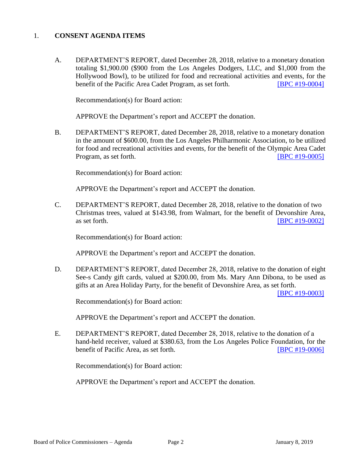### 1. **CONSENT AGENDA ITEMS**

A. DEPARTMENT'S REPORT, dated December 28, 2018, relative to a monetary donation totaling \$1,900.00 (\$900 from the Los Angeles Dodgers, LLC, and \$1,000 from the Hollywood Bowl), to be utilized for food and recreational activities and events, for the benefit of the Pacific Area Cadet Program, as set forth. **[\[BPC #19-0004\]](http://www.lapdpolicecom.lacity.org/010819/BPC_19-0004.pdf)** 

Recommendation(s) for Board action:

APPROVE the Department's report and ACCEPT the donation.

B. DEPARTMENT'S REPORT, dated December 28, 2018, relative to a monetary donation in the amount of \$600.00, from the Los Angeles Philharmonic Association, to be utilized for food and recreational activities and events, for the benefit of the Olympic Area Cadet Program, as set forth. **IDPC #19-0005** 

Recommendation(s) for Board action:

APPROVE the Department's report and ACCEPT the donation.

C. DEPARTMENT'S REPORT, dated December 28, 2018, relative to the donation of two Christmas trees, valued at \$143.98, from Walmart, for the benefit of Devonshire Area, as set forth. **IBPC #19-0002** 

Recommendation(s) for Board action:

APPROVE the Department's report and ACCEPT the donation.

D. DEPARTMENT'S REPORT, dated December 28, 2018, relative to the donation of eight See-s Candy gift cards, valued at \$200.00, from Ms. Mary Ann Dibona, to be used as gifts at an Area Holiday Party, for the benefit of Devonshire Area, as set forth.

[\[BPC #19-0003\]](http://www.lapdpolicecom.lacity.org/010819/BPC_19-0003.pdf)

Recommendation(s) for Board action:

APPROVE the Department's report and ACCEPT the donation.

E. DEPARTMENT'S REPORT, dated December 28, 2018, relative to the donation of a hand-held receiver, valued at \$380.63, from the Los Angeles Police Foundation, for the benefit of Pacific Area, as set forth. [\[BPC #19-0006\]](http://www.lapdpolicecom.lacity.org/010819/BPC_19-0006.pdf)

Recommendation(s) for Board action:

APPROVE the Department's report and ACCEPT the donation.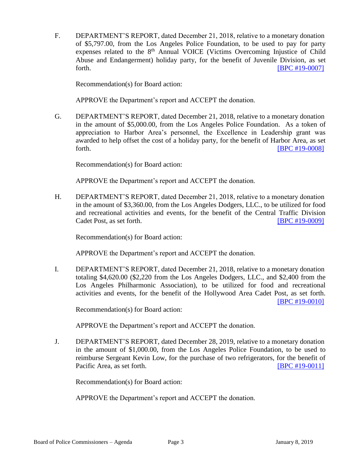F. DEPARTMENT'S REPORT, dated December 21, 2018, relative to a monetary donation of \$5,797.00, from the Los Angeles Police Foundation, to be used to pay for party expenses related to the  $8<sup>th</sup>$  Annual VOICE (Victims Overcoming Injustice of Child Abuse and Endangerment) holiday party, for the benefit of Juvenile Division, as set forth. **EXECUTE: EXECUTE: EXECUTE: EXECUTE: EXECUTE: EXECUTE: EXECUTE: EXECUTE: EXECUTE: EXECUTE: EXECUTE: EXECUTE: EXECUTE: EXECUTE: EXECUTE: EXECUTE: EXECUTE: EXECUTE: EXECUTE: EXECU** 

Recommendation(s) for Board action:

APPROVE the Department's report and ACCEPT the donation.

G. DEPARTMENT'S REPORT, dated December 21, 2018, relative to a monetary donation in the amount of \$5,000.00, from the Los Angeles Police Foundation. As a token of appreciation to Harbor Area's personnel, the Excellence in Leadership grant was awarded to help offset the cost of a holiday party, for the benefit of Harbor Area, as set forth. **EXECUTE: EXECUTE: EXECUTE: EXECUTE: EXECUTE: EXECUTE: EXECUTE: EXECUTE: EXECUTE: EXECUTE: EXECUTE: EXECUTE: EXECUTE: EXECUTE: EXECUTE: EXECUTE: EXECUTE: EXECUTE: EXECUTE: EXECU** 

Recommendation(s) for Board action:

APPROVE the Department's report and ACCEPT the donation.

H. DEPARTMENT'S REPORT, dated December 21, 2018, relative to a monetary donation in the amount of \$3,360.00, from the Los Angeles Dodgers, LLC., to be utilized for food and recreational activities and events, for the benefit of the Central Traffic Division Cadet Post, as set forth. **ICO EXECUTE:** [\[BPC #19-0009\]](http://www.lapdpolicecom.lacity.org/010819/BPC_19-0009.pdf)

Recommendation(s) for Board action:

APPROVE the Department's report and ACCEPT the donation.

I. DEPARTMENT'S REPORT, dated December 21, 2018, relative to a monetary donation totaling \$4,620.00 (\$2,220 from the Los Angeles Dodgers, LLC., and \$2,400 from the Los Angeles Philharmonic Association), to be utilized for food and recreational activities and events, for the benefit of the Hollywood Area Cadet Post, as set forth. [\[BPC #19-0010\]](http://www.lapdpolicecom.lacity.org/010819/BPC_19-0010.pdf)

Recommendation(s) for Board action:

APPROVE the Department's report and ACCEPT the donation.

J. DEPARTMENT'S REPORT, dated December 28, 2019, relative to a monetary donation in the amount of \$1,000.00, from the Los Angeles Police Foundation, to be used to reimburse Sergeant Kevin Low, for the purchase of two refrigerators, for the benefit of Pacific Area, as set forth. [\[BPC #19-0011\]](http://www.lapdpolicecom.lacity.org/010819/BPC_19-0011.pdf)

Recommendation(s) for Board action:

APPROVE the Department's report and ACCEPT the donation.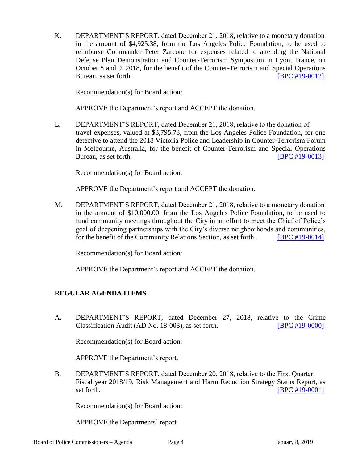K. DEPARTMENT'S REPORT, dated December 21, 2018, relative to a monetary donation in the amount of \$4,925.38, from the Los Angeles Police Foundation, to be used to reimburse Commander Peter Zarcone for expenses related to attending the National Defense Plan Demonstration and Counter-Terrorism Symposium in Lyon, France, on October 8 and 9, 2018, for the benefit of the Counter-Terrorism and Special Operations Bureau, as set forth. **IDPC #19-0012** 

Recommendation(s) for Board action:

APPROVE the Department's report and ACCEPT the donation.

L. DEPARTMENT'S REPORT, dated December 21, 2018, relative to the donation of travel expenses, valued at \$3,795.73, from the Los Angeles Police Foundation, for one detective to attend the 2018 Victoria Police and Leadership in Counter-Terrorism Forum in Melbourne, Australia, for the benefit of Counter-Terrorism and Special Operations Bureau, as set forth. **IDPC #19-0013** 

Recommendation(s) for Board action:

APPROVE the Department's report and ACCEPT the donation.

M. DEPARTMENT'S REPORT, dated December 21, 2018, relative to a monetary donation in the amount of \$10,000.00, from the Los Angeles Police Foundation, to be used to fund community meetings throughout the City in an effort to meet the Chief of Police's goal of deepening partnerships with the City's diverse neighborhoods and communities, for the benefit of the Community Relations Section, as set forth. [\[BPC #19-0014\]](http://www.lapdpolicecom.lacity.org/010819/BPC_19-0014.pdf)

Recommendation(s) for Board action:

APPROVE the Department's report and ACCEPT the donation.

### **REGULAR AGENDA ITEMS**

A. DEPARTMENT'S REPORT, dated December 27, 2018, relative to the Crime Classification Audit (AD No. 18-003), as set forth. [\[BPC #19-0000\]](http://www.lapdpolicecom.lacity.org/010819/BPC_19-0000.pdf)

Recommendation(s) for Board action:

APPROVE the Department's report.

B. DEPARTMENT'S REPORT, dated December 20, 2018, relative to the First Quarter, Fiscal year 2018/19, Risk Management and Harm Reduction Strategy Status Report, as set forth. **IBPC** #19-0001]

Recommendation(s) for Board action:

APPROVE the Departments' report.